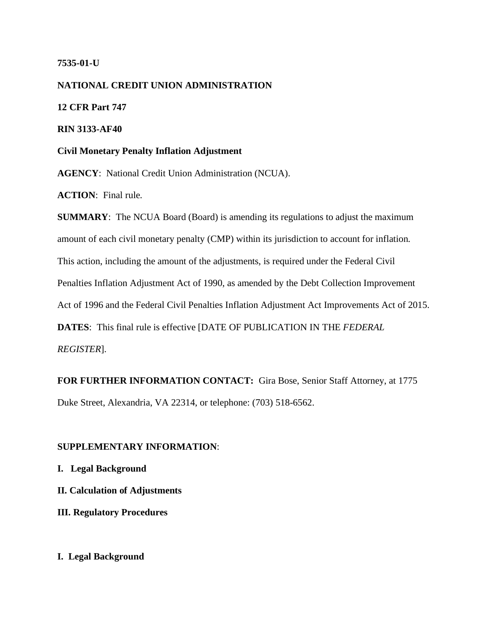## **7535-01-U**

**NATIONAL CREDIT UNION ADMINISTRATION 12 CFR Part 747 RIN 3133-AF40 Civil Monetary Penalty Inflation Adjustment AGENCY**: National Credit Union Administration (NCUA).

**ACTION**: Final rule.

**SUMMARY**: The NCUA Board (Board) is amending its regulations to adjust the maximum amount of each civil monetary penalty (CMP) within its jurisdiction to account for inflation. This action, including the amount of the adjustments, is required under the Federal Civil Penalties Inflation Adjustment Act of 1990, as amended by the Debt Collection Improvement Act of 1996 and the Federal Civil Penalties Inflation Adjustment Act Improvements Act of 2015. **DATES**: This final rule is effective [DATE OF PUBLICATION IN THE *FEDERAL REGISTER*].

**FOR FURTHER INFORMATION CONTACT:** Gira Bose, Senior Staff Attorney, at 1775 Duke Street, Alexandria, VA 22314, or telephone: (703) 518-6562.

## **SUPPLEMENTARY INFORMATION**:

**I. Legal Background** 

**II. Calculation of Adjustments**

**III. Regulatory Procedures** 

# **I. Legal Background**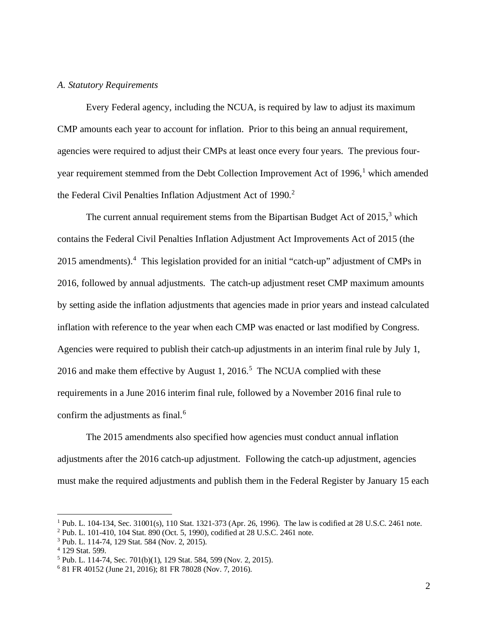#### *A. Statutory Requirements*

Every Federal agency, including the NCUA, is required by law to adjust its maximum CMP amounts each year to account for inflation. Prior to this being an annual requirement, agencies were required to adjust their CMPs at least once every four years. The previous four-year requirement stemmed from the Debt Collection Improvement Act of [1](#page-1-0)996,<sup>1</sup> which amended the Federal Civil Penalties Inflation Adjustment Act of 1990. [2](#page-1-1)

The current annual requirement stems from the Bipartisan Budget Act of  $2015$ ,<sup>[3](#page-1-2)</sup> which contains the Federal Civil Penalties Inflation Adjustment Act Improvements Act of 2015 (the 2015 amendments).<sup>[4](#page-1-3)</sup> This legislation provided for an initial "catch-up" adjustment of CMPs in 2016, followed by annual adjustments. The catch-up adjustment reset CMP maximum amounts by setting aside the inflation adjustments that agencies made in prior years and instead calculated inflation with reference to the year when each CMP was enacted or last modified by Congress. Agencies were required to publish their catch-up adjustments in an interim final rule by July 1, 2016 and make them effective by August 1, 2016.<sup>[5](#page-1-4)</sup> The NCUA complied with these requirements in a June 2016 interim final rule, followed by a November 2016 final rule to confirm the adjustments as final.<sup>[6](#page-1-5)</sup>

The 2015 amendments also specified how agencies must conduct annual inflation adjustments after the 2016 catch-up adjustment. Following the catch-up adjustment, agencies must make the required adjustments and publish them in the Federal Register by January 15 each

<span id="page-1-0"></span> $1$  Pub. L. 104-134, Sec. 31001(s), 110 Stat. 1321-373 (Apr. 26, 1996). The law is codified at 28 U.S.C. 2461 note.

<span id="page-1-1"></span><sup>2</sup> Pub. L. 101-410, 104 Stat. 890 (Oct. 5, 1990), codified at 28 U.S.C. 2461 note.

<span id="page-1-2"></span><sup>3</sup> Pub. L. 114-74, 129 Stat. 584 (Nov. 2, 2015).

<span id="page-1-3"></span><sup>4</sup> 129 Stat. 599.

<span id="page-1-4"></span><sup>5</sup> Pub. L. 114-74, Sec. 701(b)(1), 129 Stat. 584, 599 (Nov. 2, 2015).

<span id="page-1-5"></span><sup>6</sup> 81 FR 40152 (June 21, 2016); 81 FR 78028 (Nov. 7, 2016).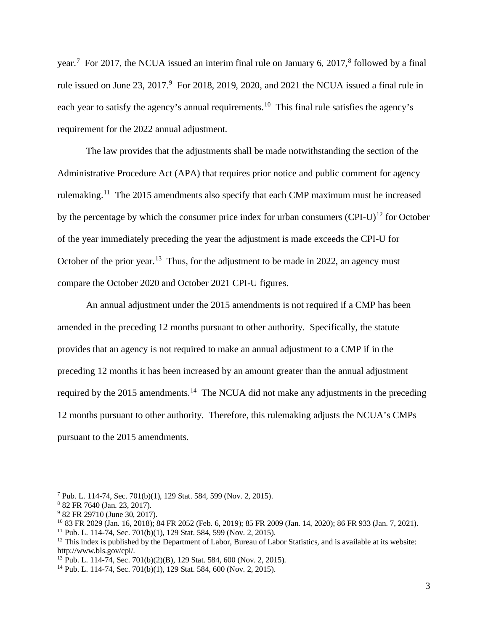year.<sup>[7](#page-2-0)</sup> For 2017, the NCUA issued an interim final rule on January 6, 2017,<sup>[8](#page-2-1)</sup> followed by a final rule issued on June 23, 2017. [9](#page-2-2) For 2018, 2019, 2020, and 2021 the NCUA issued a final rule in each year to satisfy the agency's annual requirements.<sup>10</sup> This final rule satisfies the agency's requirement for the 2022 annual adjustment.

The law provides that the adjustments shall be made notwithstanding the section of the Administrative Procedure Act (APA) that requires prior notice and public comment for agency rulemaking.[11](#page-2-4) The 2015 amendments also specify that each CMP maximum must be increased by the percentage by which the consumer price index for urban consumers  $(CPI-U)^{12}$  $(CPI-U)^{12}$  $(CPI-U)^{12}$  for October of the year immediately preceding the year the adjustment is made exceeds the CPI-U for October of the prior year.<sup>[13](#page-2-6)</sup> Thus, for the adjustment to be made in 2022, an agency must compare the October 2020 and October 2021 CPI-U figures.

An annual adjustment under the 2015 amendments is not required if a CMP has been amended in the preceding 12 months pursuant to other authority. Specifically, the statute provides that an agency is not required to make an annual adjustment to a CMP if in the preceding 12 months it has been increased by an amount greater than the annual adjustment required by the 2015 amendments.<sup>14</sup> The NCUA did not make any adjustments in the preceding 12 months pursuant to other authority. Therefore, this rulemaking adjusts the NCUA's CMPs pursuant to the 2015 amendments.

<span id="page-2-0"></span><sup>7</sup> Pub. L. 114-74, Sec. 701(b)(1), 129 Stat. 584, 599 (Nov. 2, 2015).

<sup>8</sup> 82 FR 7640 (Jan. 23, 2017).

<span id="page-2-2"></span><span id="page-2-1"></span><sup>&</sup>lt;sup>9</sup> 82 FR 29710 (June 30, 2017).

<span id="page-2-3"></span><sup>&</sup>lt;sup>10</sup> 83 FR 2029 (Jan. 16, 2018); 84 FR 2052 (Feb. 6, 2019); 85 FR 2009 (Jan. 14, 2020); 86 FR 933 (Jan. 7, 2021).<br><sup>11</sup> Pub. L. 114-74, Sec. 701(b)(1), 129 Stat. 584, 599 (Nov. 2, 2015).

<span id="page-2-5"></span><span id="page-2-4"></span> $12$  This index is published by the Department of Labor, Bureau of Labor Statistics, and is available at its website: http://www.bls.gov/cpi/.

<span id="page-2-6"></span><sup>13</sup> Pub. L. 114-74, Sec. 701(b)(2)(B), 129 Stat. 584, 600 (Nov. 2, 2015).

<span id="page-2-7"></span><sup>14</sup> Pub. L. 114-74, Sec. 701(b)(1), 129 Stat. 584, 600 (Nov. 2, 2015).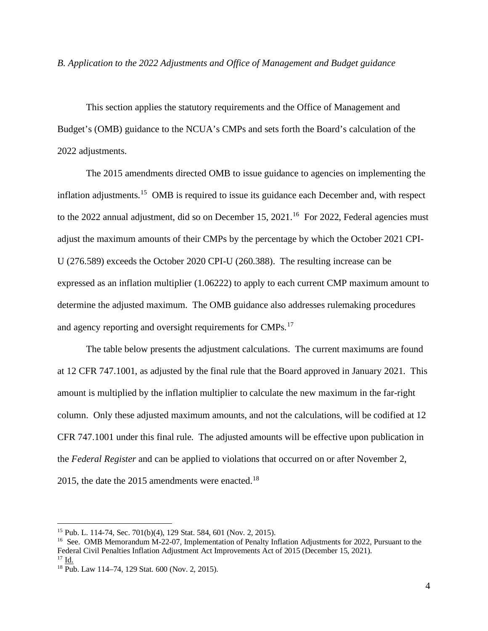*B. Application to the 2022 Adjustments and Office of Management and Budget guidance* 

This section applies the statutory requirements and the Office of Management and Budget's (OMB) guidance to the NCUA's CMPs and sets forth the Board's calculation of the 2022 adjustments.

The 2015 amendments directed OMB to issue guidance to agencies on implementing the inflation adjustments.<sup>15</sup> OMB is required to issue its guidance each December and, with respect to the 2022 annual adjustment, did so on December 15, 2021.<sup>16</sup> For 2022, Federal agencies must adjust the maximum amounts of their CMPs by the percentage by which the October 2021 CPI-U (276.589) exceeds the October 2020 CPI-U (260.388). The resulting increase can be expressed as an inflation multiplier (1.06222) to apply to each current CMP maximum amount to determine the adjusted maximum. The OMB guidance also addresses rulemaking procedures and agency reporting and oversight requirements for CMPs.<sup>17</sup>

The table below presents the adjustment calculations. The current maximums are found at 12 CFR 747.1001, as adjusted by the final rule that the Board approved in January 2021. This amount is multiplied by the inflation multiplier to calculate the new maximum in the far-right column. Only these adjusted maximum amounts, and not the calculations, will be codified at 12 CFR 747.1001 under this final rule. The adjusted amounts will be effective upon publication in the *Federal Register* and can be applied to violations that occurred on or after November 2, 2015, the date the 2015 amendments were enacted.<sup>[18](#page-3-3)</sup>

<span id="page-3-0"></span><sup>15</sup> Pub. L. 114-74, Sec. 701(b)(4), 129 Stat. 584, 601 (Nov. 2, 2015).

<span id="page-3-1"></span><sup>&</sup>lt;sup>16</sup> See. OMB Memorandum M-22-07, Implementation of Penalty Inflation Adjustments for 2022, Pursuant to the Federal Civil Penalties Inflation Adjustment Act Improvements Act of 2015 (December 15, 2021).

<span id="page-3-2"></span> $17$  Id.

<span id="page-3-3"></span><sup>18</sup> Pub. Law 114–74, 129 Stat. 600 (Nov. 2, 2015).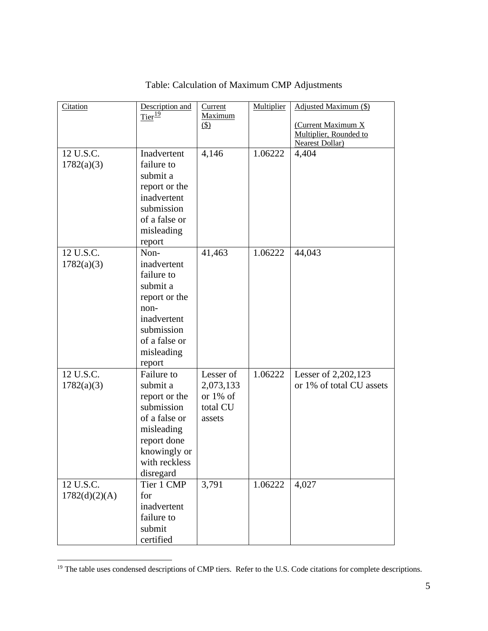| Citation      | Description and      | Current            | Multiplier | Adjusted Maximum (\$)    |
|---------------|----------------------|--------------------|------------|--------------------------|
|               | $Tier^{\frac{19}{}}$ | Maximum<br>$\circ$ |            | (Current Maximum X       |
|               |                      |                    |            | Multiplier, Rounded to   |
|               |                      |                    |            | <b>Nearest Dollar)</b>   |
| 12 U.S.C.     | Inadvertent          | 4,146              | 1.06222    | 4,404                    |
| 1782(a)(3)    | failure to           |                    |            |                          |
|               | submit a             |                    |            |                          |
|               | report or the        |                    |            |                          |
|               | inadvertent          |                    |            |                          |
|               | submission           |                    |            |                          |
|               | of a false or        |                    |            |                          |
|               | misleading           |                    |            |                          |
|               | report               |                    |            |                          |
| 12 U.S.C.     | Non-                 | 41,463             | 1.06222    | 44,043                   |
| 1782(a)(3)    | inadvertent          |                    |            |                          |
|               | failure to           |                    |            |                          |
|               | submit a             |                    |            |                          |
|               | report or the        |                    |            |                          |
|               | non-                 |                    |            |                          |
|               | inadvertent          |                    |            |                          |
|               | submission           |                    |            |                          |
|               | of a false or        |                    |            |                          |
|               | misleading           |                    |            |                          |
|               | report               |                    |            |                          |
| 12 U.S.C.     | Failure to           | Lesser of          | 1.06222    | Lesser of 2,202,123      |
| 1782(a)(3)    | submit a             | 2,073,133          |            | or 1% of total CU assets |
|               | report or the        | or $1\%$ of        |            |                          |
|               | submission           | total CU           |            |                          |
|               | of a false or        | assets             |            |                          |
|               | misleading           |                    |            |                          |
|               | report done          |                    |            |                          |
|               | knowingly or         |                    |            |                          |
|               | with reckless        |                    |            |                          |
|               | disregard            |                    |            |                          |
| 12 U.S.C.     | Tier 1 CMP           | 3,791              | 1.06222    | 4,027                    |
| 1782(d)(2)(A) | for                  |                    |            |                          |
|               | inadvertent          |                    |            |                          |
|               | failure to           |                    |            |                          |
|               | submit               |                    |            |                          |
|               |                      |                    |            |                          |
|               | certified            |                    |            |                          |

# Table: Calculation of Maximum CMP Adjustments

<span id="page-4-0"></span><sup>&</sup>lt;sup>19</sup> The table uses condensed descriptions of CMP tiers. Refer to the U.S. Code citations for complete descriptions.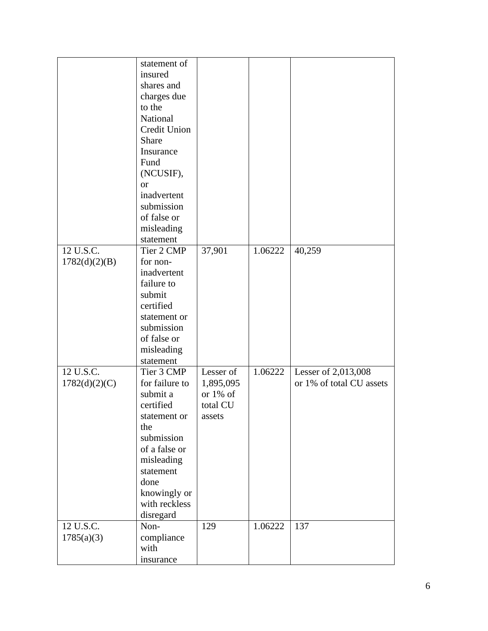|               | statement of      |           |         |                          |
|---------------|-------------------|-----------|---------|--------------------------|
|               | insured           |           |         |                          |
|               | shares and        |           |         |                          |
|               | charges due       |           |         |                          |
|               | to the            |           |         |                          |
|               | National          |           |         |                          |
|               | Credit Union      |           |         |                          |
|               | Share             |           |         |                          |
|               | Insurance         |           |         |                          |
|               | Fund              |           |         |                          |
|               | (NCUSIF),         |           |         |                          |
|               | <b>or</b>         |           |         |                          |
|               | inadvertent       |           |         |                          |
|               | submission        |           |         |                          |
|               | of false or       |           |         |                          |
|               | misleading        |           |         |                          |
|               | statement         |           |         |                          |
| 12 U.S.C.     | Tier 2 CMP        | 37,901    | 1.06222 | 40,259                   |
| 1782(d)(2)(B) | for non-          |           |         |                          |
|               | inadvertent       |           |         |                          |
|               | failure to        |           |         |                          |
|               | submit            |           |         |                          |
|               | certified         |           |         |                          |
|               | statement or      |           |         |                          |
|               | submission        |           |         |                          |
|               | of false or       |           |         |                          |
|               | misleading        |           |         |                          |
|               | statement         |           |         |                          |
| 12 U.S.C.     | Tier 3 CMP        | Lesser of | 1.06222 | Lesser of 2,013,008      |
| 1782(d)(2)(C) | for failure to    | 1,895,095 |         | or 1% of total CU assets |
|               | submit a          | or 1% of  |         |                          |
|               | certified         | total CU  |         |                          |
|               | statement or      | assets    |         |                          |
|               | the               |           |         |                          |
|               | submission        |           |         |                          |
|               | of a false or     |           |         |                          |
|               | misleading        |           |         |                          |
|               |                   |           |         |                          |
|               | statement<br>done |           |         |                          |
|               |                   |           |         |                          |
|               | knowingly or      |           |         |                          |
|               | with reckless     |           |         |                          |
|               | disregard         |           |         |                          |
| 12 U.S.C.     | Non-              | 129       | 1.06222 | 137                      |
| 1785(a)(3)    | compliance        |           |         |                          |
|               | with              |           |         |                          |
|               | insurance         |           |         |                          |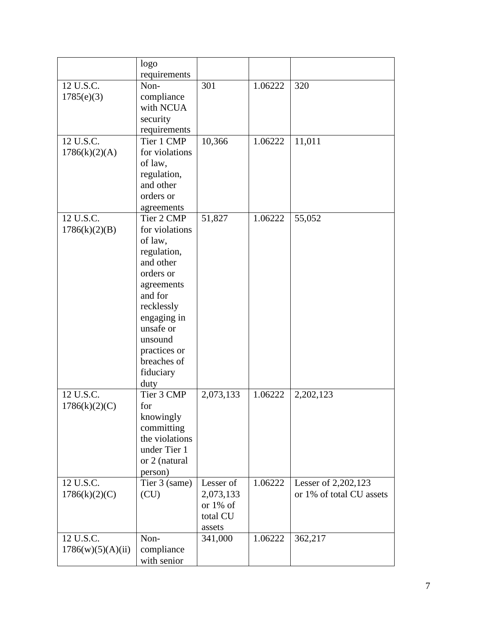|                   | logo           |             |         |                          |
|-------------------|----------------|-------------|---------|--------------------------|
|                   | requirements   |             |         |                          |
| 12 U.S.C.         | Non-           | 301         | 1.06222 | 320                      |
| 1785(e)(3)        | compliance     |             |         |                          |
|                   | with NCUA      |             |         |                          |
|                   | security       |             |         |                          |
|                   | requirements   |             |         |                          |
| 12 U.S.C.         | Tier 1 CMP     | 10,366      | 1.06222 | 11,011                   |
| 1786(k)(2)(A)     | for violations |             |         |                          |
|                   | of law,        |             |         |                          |
|                   | regulation,    |             |         |                          |
|                   | and other      |             |         |                          |
|                   | orders or      |             |         |                          |
|                   | agreements     |             |         |                          |
| 12 U.S.C.         | Tier 2 CMP     | 51,827      | 1.06222 | 55,052                   |
| 1786(k)(2)(B)     | for violations |             |         |                          |
|                   | of law,        |             |         |                          |
|                   | regulation,    |             |         |                          |
|                   | and other      |             |         |                          |
|                   | orders or      |             |         |                          |
|                   | agreements     |             |         |                          |
|                   | and for        |             |         |                          |
|                   | recklessly     |             |         |                          |
|                   | engaging in    |             |         |                          |
|                   | unsafe or      |             |         |                          |
|                   | unsound        |             |         |                          |
|                   | practices or   |             |         |                          |
|                   | breaches of    |             |         |                          |
|                   | fiduciary      |             |         |                          |
|                   | duty           |             |         |                          |
| 12 U.S.C.         | Tier 3 CMP     | 2,073,133   | 1.06222 | 2,202,123                |
| 1786(k)(2)(C)     | for            |             |         |                          |
|                   | knowingly      |             |         |                          |
|                   | committing     |             |         |                          |
|                   | the violations |             |         |                          |
|                   | under Tier 1   |             |         |                          |
|                   | or 2 (natural  |             |         |                          |
|                   | person)        |             |         |                          |
| 12 U.S.C.         | Tier 3 (same)  | Lesser of   | 1.06222 | Lesser of 2,202,123      |
| 1786(k)(2)(C)     | (CU)           | 2,073,133   |         | or 1% of total CU assets |
|                   |                | or $1\%$ of |         |                          |
|                   |                | total CU    |         |                          |
|                   |                | assets      |         |                          |
| 12 U.S.C.         | Non-           | 341,000     | 1.06222 | 362,217                  |
| 1786(w)(5)(A)(ii) | compliance     |             |         |                          |
|                   | with senior    |             |         |                          |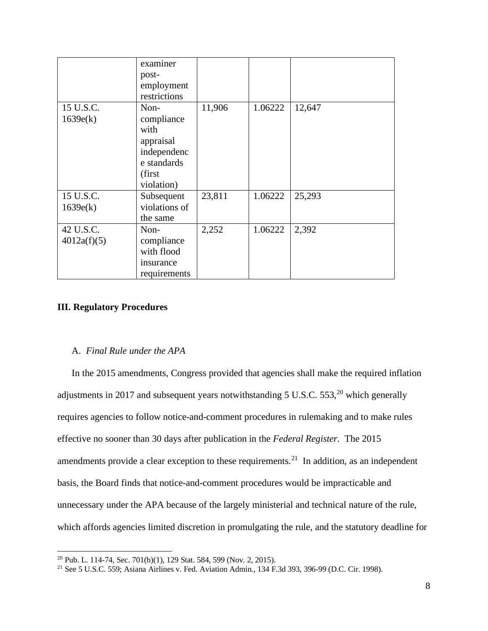|             | examiner      |        |         |        |
|-------------|---------------|--------|---------|--------|
|             | post-         |        |         |        |
|             | employment    |        |         |        |
|             | restrictions  |        |         |        |
| 15 U.S.C.   | Non-          | 11,906 | 1.06222 | 12,647 |
| 1639e(k)    | compliance    |        |         |        |
|             | with          |        |         |        |
|             | appraisal     |        |         |        |
|             | independenc   |        |         |        |
|             | e standards   |        |         |        |
|             | (first        |        |         |        |
|             | violation)    |        |         |        |
| 15 U.S.C.   | Subsequent    | 23,811 | 1.06222 | 25,293 |
| 1639e(k)    | violations of |        |         |        |
|             | the same      |        |         |        |
| 42 U.S.C.   | Non-          | 2,252  | 1.06222 | 2,392  |
| 4012a(f)(5) | compliance    |        |         |        |
|             | with flood    |        |         |        |
|             | insurance     |        |         |        |
|             | requirements  |        |         |        |

# **III. Regulatory Procedures**

#### A. *Final Rule under the APA*

In the 2015 amendments, Congress provided that agencies shall make the required inflation adjustments in 2017 and subsequent years notwithstanding 5 U.S.C. 553,<sup>20</sup> which generally requires agencies to follow notice-and-comment procedures in rulemaking and to make rules effective no sooner than 30 days after publication in the *Federal Register*. The 2015 amendments provide a clear exception to these requirements.<sup>21</sup> In addition, as an independent basis, the Board finds that notice-and-comment procedures would be impracticable and unnecessary under the APA because of the largely ministerial and technical nature of the rule, which affords agencies limited discretion in promulgating the rule, and the statutory deadline for

<span id="page-7-0"></span><sup>20</sup> Pub. L. 114-74, Sec. 701(b)(1), 129 Stat. 584, 599 (Nov. 2, 2015).

<span id="page-7-1"></span><sup>21</sup> See 5 U.S.C. 559; Asiana Airlines v. Fed. Aviation Admin.*,* 134 F.3d 393, 396-99 (D.C. Cir. 1998).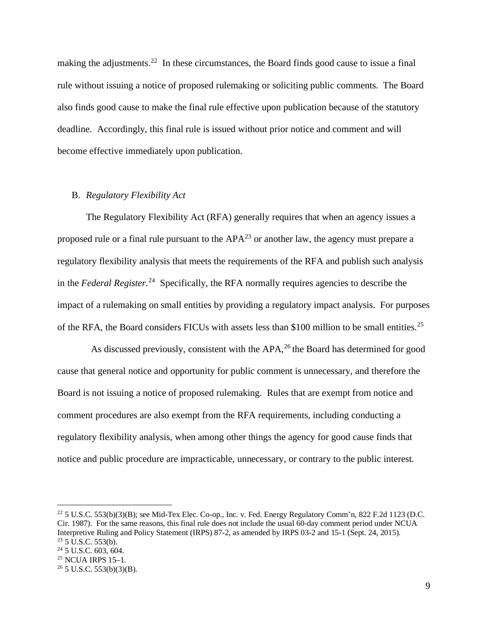making the adjustments.<sup>22</sup> In these circumstances, the Board finds good cause to issue a final rule without issuing a notice of proposed rulemaking or soliciting public comments. The Board also finds good cause to make the final rule effective upon publication because of the statutory deadline. Accordingly, this final rule is issued without prior notice and comment and will become effective immediately upon publication.

#### B. *Regulatory Flexibility Act*

The Regulatory Flexibility Act (RFA) generally requires that when an agency issues a proposed rule or a final rule pursuant to the  $APA^{23}$  $APA^{23}$  $APA^{23}$  or another law, the agency must prepare a regulatory flexibility analysis that meets the requirements of the RFA and publish such analysis in the *Federal Register*. [24](#page-8-2) Specifically, the RFA normally requires agencies to describe the impact of a rulemaking on small entities by providing a regulatory impact analysis. For purposes of the RFA, the Board considers FICUs with assets less than \$100 million to be small entities.<sup>[25](#page-8-3)</sup>

As discussed previously, consistent with the APA,<sup>[26](#page-8-4)</sup> the Board has determined for good cause that general notice and opportunity for public comment is unnecessary, and therefore the Board is not issuing a notice of proposed rulemaking. Rules that are exempt from notice and comment procedures are also exempt from the RFA requirements, including conducting a regulatory flexibility analysis, when among other things the agency for good cause finds that notice and public procedure are impracticable, unnecessary, or contrary to the public interest.

<span id="page-8-0"></span> $^{22}$  5 U.S.C. 553(b)(3)(B); see Mid-Tex Elec. Co-op., Inc. v. Fed. Energy Regulatory Comm'n, 822 F.2d 1123 (D.C. Cir. 1987). For the same reasons, this final rule does not include the usual 60-day comment period under NCUA Interpretive Ruling and Policy Statement (IRPS) 87-2, as amended by IRPS 03-2 and 15-1 (Sept. 24, 2015).  $^{23}$  5 U.S.C. 553(b).<br> $^{24}$  5 U.S.C. 603, 604.

<span id="page-8-1"></span>

<span id="page-8-4"></span><span id="page-8-3"></span><span id="page-8-2"></span><sup>&</sup>lt;sup>25</sup> NCUA IRPS 15–1.<br><sup>26</sup> 5 U.S.C. 553(b)(3)(B).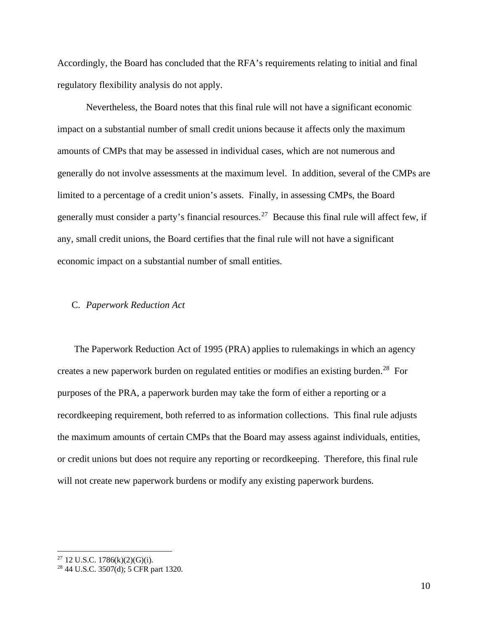Accordingly, the Board has concluded that the RFA's requirements relating to initial and final regulatory flexibility analysis do not apply.

Nevertheless, the Board notes that this final rule will not have a significant economic impact on a substantial number of small credit unions because it affects only the maximum amounts of CMPs that may be assessed in individual cases, which are not numerous and generally do not involve assessments at the maximum level. In addition, several of the CMPs are limited to a percentage of a credit union's assets. Finally, in assessing CMPs, the Board generally must consider a party's financial resources.<sup>[27](#page-9-0)</sup> Because this final rule will affect few, if any, small credit unions, the Board certifies that the final rule will not have a significant economic impact on a substantial number of small entities.

#### C. *Paperwork Reduction Act*

 The Paperwork Reduction Act of 1995 (PRA) applies to rulemakings in which an agency creates a new paperwork burden on regulated entities or modifies an existing burden.<sup>28</sup> For purposes of the PRA, a paperwork burden may take the form of either a reporting or a recordkeeping requirement, both referred to as information collections. This final rule adjusts the maximum amounts of certain CMPs that the Board may assess against individuals, entities, or credit unions but does not require any reporting or recordkeeping. Therefore, this final rule will not create new paperwork burdens or modify any existing paperwork burdens.

<span id="page-9-0"></span> $27$  12 U.S.C. 1786(k)(2)(G)(i).

<span id="page-9-1"></span><sup>28</sup> 44 U.S.C. 3507(d); 5 CFR part 1320.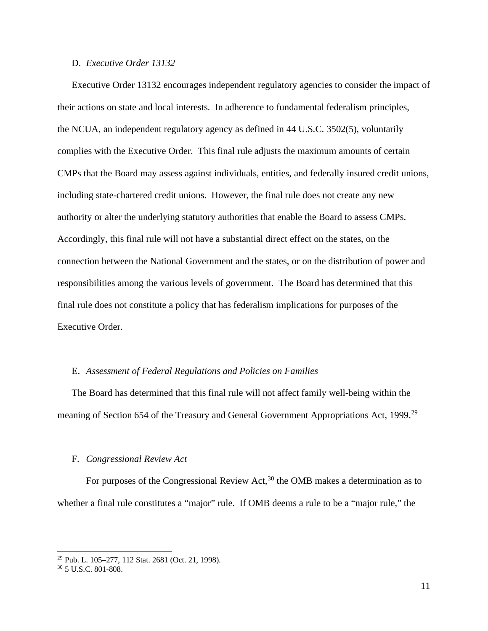#### D. *Executive Order 13132*

Executive Order 13132 encourages independent regulatory agencies to consider the impact of their actions on state and local interests. In adherence to fundamental federalism principles, the NCUA, an independent regulatory agency as defined in 44 U.S.C. 3502(5), voluntarily complies with the Executive Order. This final rule adjusts the maximum amounts of certain CMPs that the Board may assess against individuals, entities, and federally insured credit unions, including state-chartered credit unions. However, the final rule does not create any new authority or alter the underlying statutory authorities that enable the Board to assess CMPs. Accordingly, this final rule will not have a substantial direct effect on the states, on the connection between the National Government and the states, or on the distribution of power and responsibilities among the various levels of government. The Board has determined that this final rule does not constitute a policy that has federalism implications for purposes of the Executive Order.

#### E. *Assessment of Federal Regulations and Policies on Families*

The Board has determined that this final rule will not affect family well-being within the meaning of Section 654 of the Treasury and General Government Appropriations Act, 1999.<sup>[29](#page-10-0)</sup>

#### F. *Congressional Review Act*

For purposes of the Congressional Review Act,  $30$  the OMB makes a determination as to whether a final rule constitutes a "major" rule. If OMB deems a rule to be a "major rule," the

<span id="page-10-0"></span><sup>29</sup> Pub. L. 105–277, 112 Stat. 2681 (Oct. 21, 1998).

<span id="page-10-1"></span><sup>30</sup> 5 U.S.C. 801-808.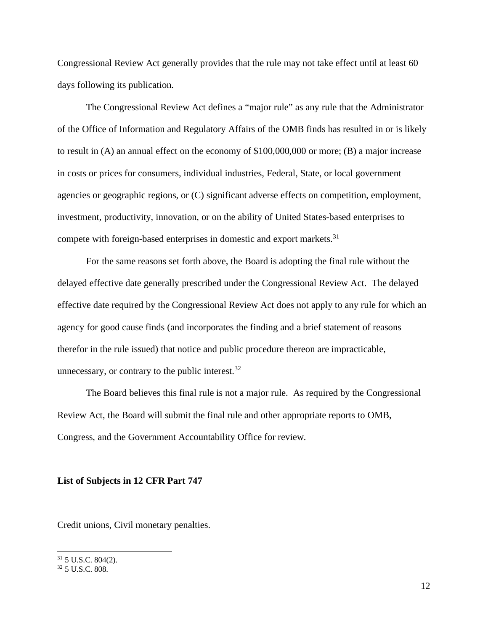Congressional Review Act generally provides that the rule may not take effect until at least 60 days following its publication.

The Congressional Review Act defines a "major rule" as any rule that the Administrator of the Office of Information and Regulatory Affairs of the OMB finds has resulted in or is likely to result in (A) an annual effect on the economy of \$100,000,000 or more; (B) a major increase in costs or prices for consumers, individual industries, Federal, State, or local government agencies or geographic regions, or (C) significant adverse effects on competition, employment, investment, productivity, innovation, or on the ability of United States-based enterprises to compete with foreign-based enterprises in domestic and export markets.<sup>[31](#page-11-0)</sup>

For the same reasons set forth above, the Board is adopting the final rule without the delayed effective date generally prescribed under the Congressional Review Act. The delayed effective date required by the Congressional Review Act does not apply to any rule for which an agency for good cause finds (and incorporates the finding and a brief statement of reasons therefor in the rule issued) that notice and public procedure thereon are impracticable, unnecessary, or contrary to the public interest. $32$ 

The Board believes this final rule is not a major rule. As required by the Congressional Review Act, the Board will submit the final rule and other appropriate reports to OMB, Congress, and the Government Accountability Office for review*.* 

#### **List of Subjects in 12 CFR Part 747**

Credit unions, Civil monetary penalties.

<span id="page-11-0"></span> $31$  5 U.S.C. 804(2).

<span id="page-11-1"></span><sup>32</sup> 5 U.S.C. 808.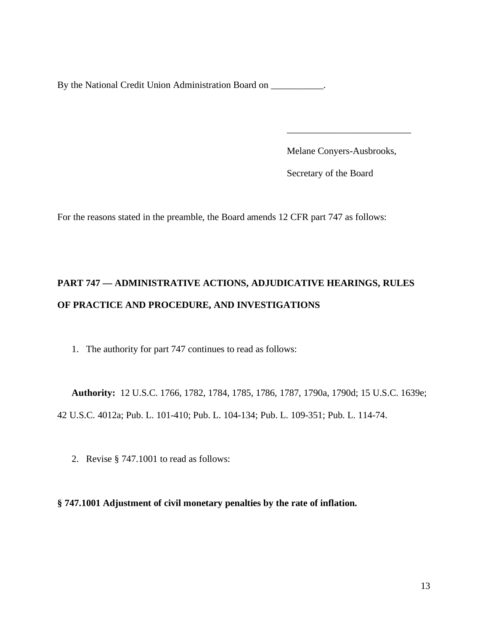By the National Credit Union Administration Board on \_\_\_\_\_\_\_\_\_\_.

Melane Conyers-Ausbrooks,

Secretary of the Board

For the reasons stated in the preamble, the Board amends 12 CFR part 747 as follows:

 $\mathcal{L}_\text{max}$  , and the contract of the contract of the contract of the contract of the contract of the contract of the contract of the contract of the contract of the contract of the contract of the contract of the contr

# **PART 747 — ADMINISTRATIVE ACTIONS, ADJUDICATIVE HEARINGS, RULES OF PRACTICE AND PROCEDURE, AND INVESTIGATIONS**

1. The authority for part 747 continues to read as follows:

**Authority:** 12 U.S.C. 1766, 1782, 1784, 1785, 1786, 1787, 1790a, 1790d; 15 U.S.C. 1639e; 42 U.S.C. 4012a; Pub. L. 101-410; Pub. L. 104-134; Pub. L. 109-351; Pub. L. 114-74.

2. Revise § 747.1001 to read as follows:

**§ 747.1001 Adjustment of civil monetary penalties by the rate of inflation.**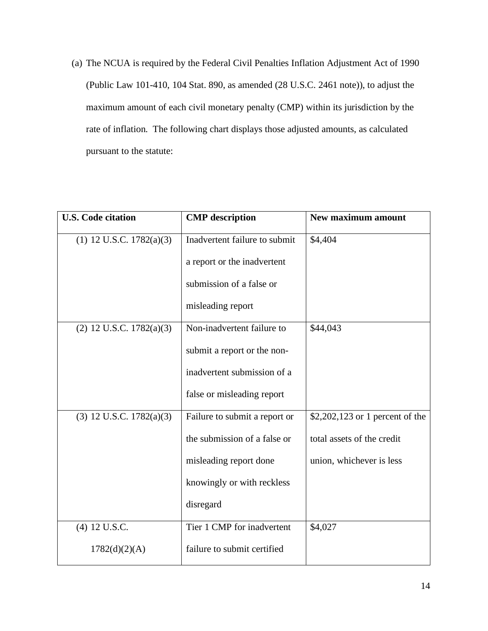(a) The NCUA is required by the Federal Civil Penalties Inflation Adjustment Act of 1990 (Public Law 101-410, 104 Stat. 890, as amended (28 U.S.C. 2461 note)), to adjust the maximum amount of each civil monetary penalty (CMP) within its jurisdiction by the rate of inflation. The following chart displays those adjusted amounts, as calculated pursuant to the statute:

| <b>U.S. Code citation</b>     | <b>CMP</b> description        | <b>New maximum amount</b>       |
|-------------------------------|-------------------------------|---------------------------------|
| $(1)$ 12 U.S.C. 1782 $(a)(3)$ | Inadvertent failure to submit | \$4,404                         |
|                               | a report or the inadvertent   |                                 |
|                               | submission of a false or      |                                 |
|                               | misleading report             |                                 |
| $(2)$ 12 U.S.C. 1782 $(a)(3)$ | Non-inadvertent failure to    | \$44,043                        |
|                               | submit a report or the non-   |                                 |
|                               | inadvertent submission of a   |                                 |
|                               | false or misleading report    |                                 |
| $(3)$ 12 U.S.C. 1782 $(a)(3)$ | Failure to submit a report or | \$2,202,123 or 1 percent of the |
|                               | the submission of a false or  | total assets of the credit      |
|                               | misleading report done        | union, whichever is less        |
|                               | knowingly or with reckless    |                                 |
|                               | disregard                     |                                 |
| (4) 12 U.S.C.                 | Tier 1 CMP for inadvertent    | \$4,027                         |
| 1782(d)(2)(A)                 | failure to submit certified   |                                 |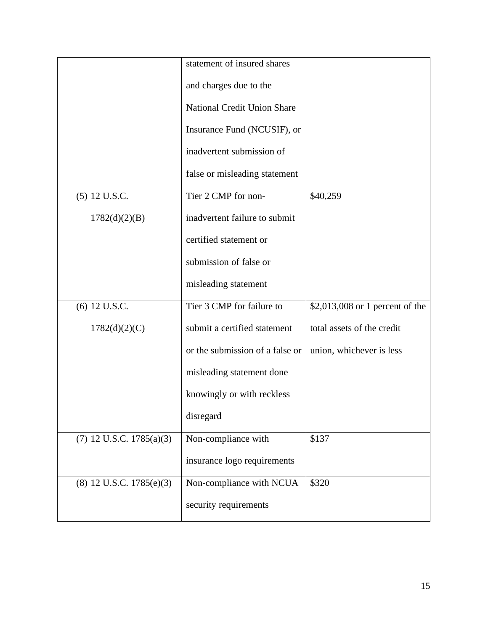|                               | statement of insured shares     |                                 |
|-------------------------------|---------------------------------|---------------------------------|
|                               | and charges due to the          |                                 |
|                               | National Credit Union Share     |                                 |
|                               | Insurance Fund (NCUSIF), or     |                                 |
|                               | inadvertent submission of       |                                 |
|                               | false or misleading statement   |                                 |
| (5) 12 U.S.C.                 | Tier 2 CMP for non-             | \$40,259                        |
| 1782(d)(2)(B)                 | inadvertent failure to submit   |                                 |
|                               | certified statement or          |                                 |
|                               | submission of false or          |                                 |
|                               | misleading statement            |                                 |
| (6) 12 U.S.C.                 | Tier 3 CMP for failure to       | \$2,013,008 or 1 percent of the |
| 1782(d)(2)(C)                 | submit a certified statement    | total assets of the credit      |
|                               | or the submission of a false or | union, whichever is less        |
|                               | misleading statement done       |                                 |
|                               | knowingly or with reckless      |                                 |
|                               | disregard                       |                                 |
| $(7)$ 12 U.S.C. 1785 $(a)(3)$ | Non-compliance with             | \$137                           |
|                               | insurance logo requirements     |                                 |
| $(8)$ 12 U.S.C. 1785 $(e)(3)$ | Non-compliance with NCUA        | \$320                           |
|                               | security requirements           |                                 |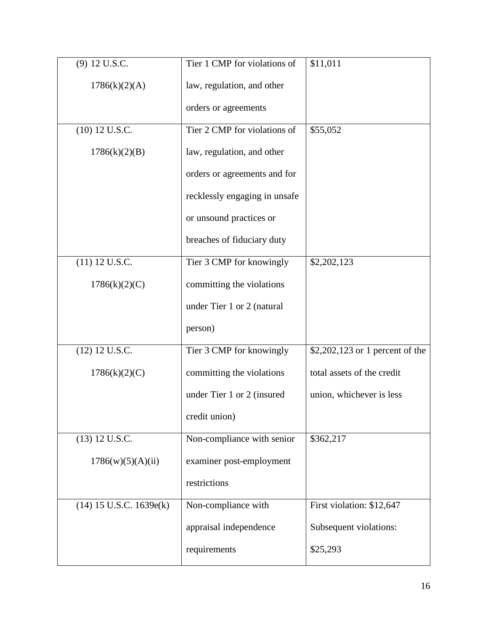| (9) 12 U.S.C.             | Tier 1 CMP for violations of  | \$11,011                        |
|---------------------------|-------------------------------|---------------------------------|
| 1786(k)(2)(A)             | law, regulation, and other    |                                 |
|                           | orders or agreements          |                                 |
| (10) 12 U.S.C.            | Tier 2 CMP for violations of  | \$55,052                        |
| 1786(k)(2)(B)             | law, regulation, and other    |                                 |
|                           | orders or agreements and for  |                                 |
|                           | recklessly engaging in unsafe |                                 |
|                           | or unsound practices or       |                                 |
|                           | breaches of fiduciary duty    |                                 |
| $(11)$ 12 U.S.C.          | Tier 3 CMP for knowingly      | \$2,202,123                     |
| 1786(k)(2)(C)             | committing the violations     |                                 |
|                           | under Tier 1 or 2 (natural    |                                 |
|                           | person)                       |                                 |
| $(12)$ 12 U.S.C.          | Tier 3 CMP for knowingly      | \$2,202,123 or 1 percent of the |
| 1786(k)(2)(C)             | committing the violations     | total assets of the credit      |
|                           | under Tier 1 or 2 (insured    | union, whichever is less        |
|                           | credit union)                 |                                 |
| (13) 12 U.S.C.            | Non-compliance with senior    | \$362,217                       |
| 1786(w)(5)(A)(ii)         | examiner post-employment      |                                 |
|                           | restrictions                  |                                 |
| $(14)$ 15 U.S.C. 1639e(k) | Non-compliance with           | First violation: \$12,647       |
|                           | appraisal independence        | Subsequent violations:          |
|                           | requirements                  | \$25,293                        |